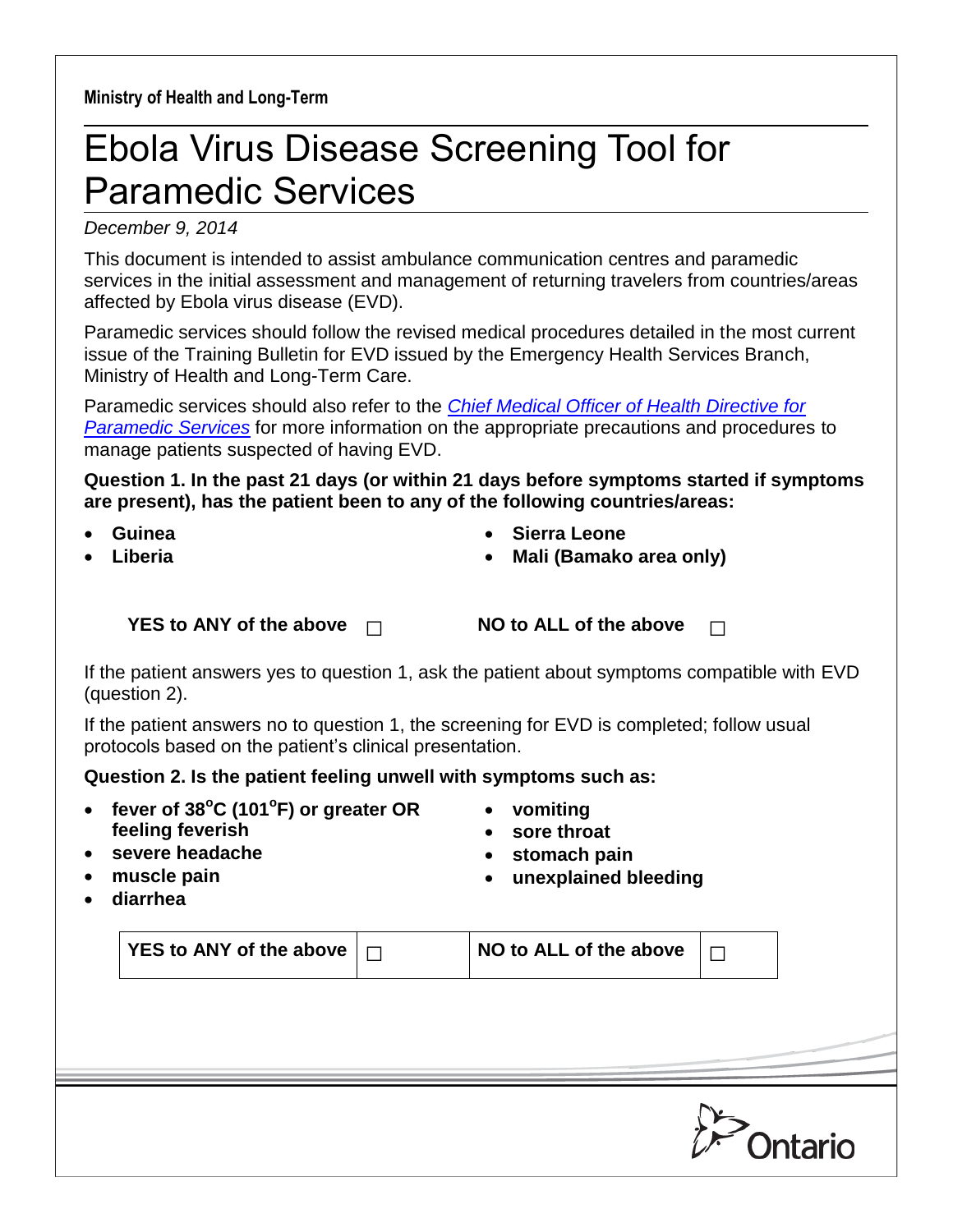**Ministry of Health and Long-Term**

## Ebola Virus Disease Screening Tool for Paramedic Services

## *December 9, 2014*

This document is intended to assist ambulance communication centres and paramedic services in the initial assessment and management of returning travelers from countries/areas affected by Ebola virus disease (EVD).

Paramedic services should follow the revised medical procedures detailed in the most current issue of the Training Bulletin for EVD issued by the Emergency Health Services Branch, Ministry of Health and Long-Term Care.

Paramedic services should also refer to the *[Chief Medical Officer of Health Directive for](http://www.ontario.ca/ebola)  [Paramedic Services](http://www.ontario.ca/ebola)* for more information on the appropriate precautions and procedures to manage patients suspected of having EVD.

**Question 1. In the past 21 days (or within 21 days before symptoms started if symptoms are present), has the patient been to any of the following countries/areas:**

**Guinea**

**Sierra Leone**

**Liberia**

- **Mali (Bamako area only)**
- **YES to ANY of the above** □ **NO to ALL of the above** □

If the patient answers yes to question 1, ask the patient about symptoms compatible with EVD (question 2).

If the patient answers no to question 1, the screening for EVD is completed; follow usual protocols based on the patient's clinical presentation.

**Question 2. Is the patient feeling unwell with symptoms such as:**

- **fever of 38<sup>o</sup>C (101<sup>o</sup> F) or greater OR feeling feverish**
- **vomiting sore throat**
- **stomach pain**
- **severe headache**
- **muscle pain**
- **diarrhea**

**unexplained bleeding**

**YES to ANY of the above**  $\Box$  **NO to ALL of the above**  $\Box$